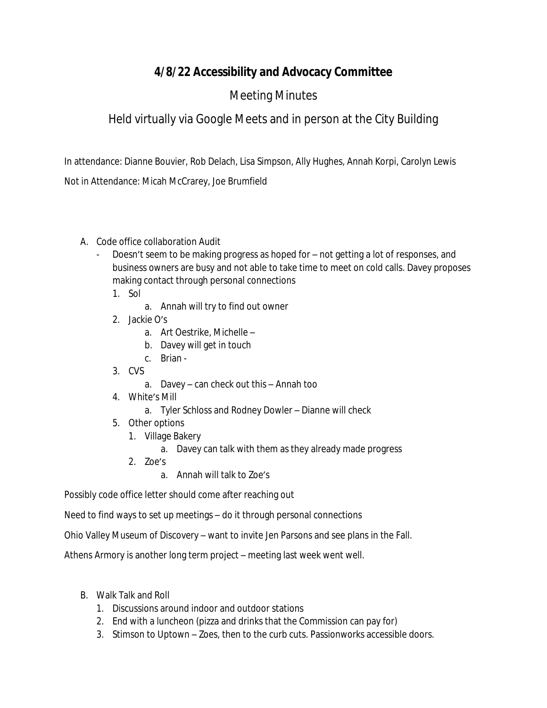## **4/8/22 Accessibility and Advocacy Committee**

## Meeting Minutes

## Held virtually via Google Meets and in person at the City Building

In attendance: Dianne Bouvier, Rob Delach, Lisa Simpson, Ally Hughes, Annah Korpi, Carolyn Lewis

Not in Attendance: Micah McCrarey, Joe Brumfield

- A. Code office collaboration Audit
	- Doesn't seem to be making progress as hoped for not getting a lot of responses, and business owners are busy and not able to take time to meet on cold calls. Davey proposes making contact through personal connections
		- 1. Sol
			- a. Annah will try to find out owner
		- 2. Jackie O's
			- a. Art Oestrike, Michelle –
			- b. Davey will get in touch
			- c. Brian -
		- 3. CVS
			- a. Davey can check out this Annah too
		- 4. White's Mill
			- a. Tyler Schloss and Rodney Dowler Dianne will check
		- 5. Other options
			- 1. Village Bakery
				- a. Davey can talk with them as they already made progress
			- 2. Zoe's
				- a. Annah will talk to Zoe's

Possibly code office letter should come after reaching out

Need to find ways to set up meetings – do it through personal connections

Ohio Valley Museum of Discovery – want to invite Jen Parsons and see plans in the Fall.

Athens Armory is another long term project – meeting last week went well.

- B. Walk Talk and Roll
	- 1. Discussions around indoor and outdoor stations
	- 2. End with a luncheon (pizza and drinks that the Commission can pay for)
	- 3. Stimson to Uptown Zoes, then to the curb cuts. Passionworks accessible doors.